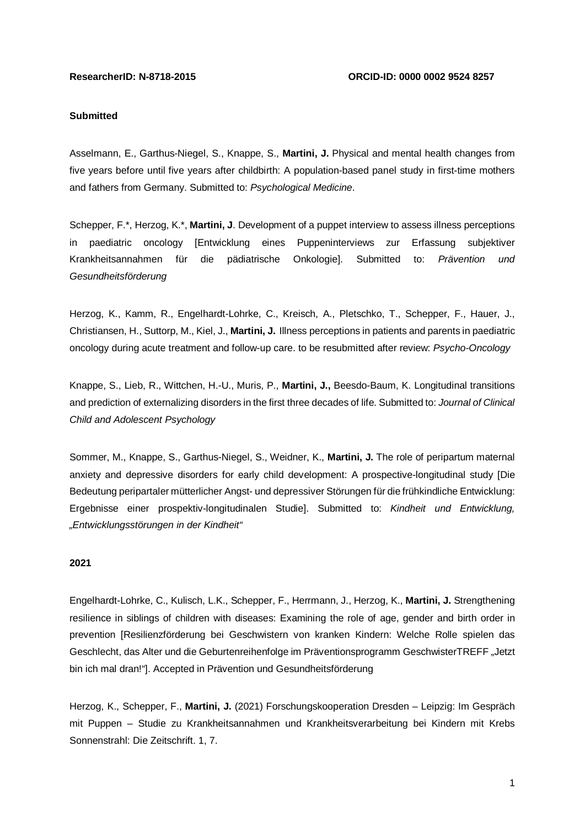## **Submitted**

Asselmann, E., Garthus-Niegel, S., Knappe, S., **Martini, J.** Physical and mental health changes from five years before until five years after childbirth: A population-based panel study in first-time mothers and fathers from Germany. Submitted to: *Psychological Medicine*.

Schepper, F.\*, Herzog, K.\*, **Martini, J**. Development of a puppet interview to assess illness perceptions in paediatric oncology [Entwicklung eines Puppeninterviews zur Erfassung subjektiver Krankheitsannahmen für die pädiatrische Onkologie]. Submitted to: *Prävention und Gesundheitsförderung*

Herzog, K., Kamm, R., Engelhardt-Lohrke, C., Kreisch, A., Pletschko, T., Schepper, F., Hauer, J., Christiansen, H., Suttorp, M., Kiel, J., **Martini, J.** Illness perceptions in patients and parents in paediatric oncology during acute treatment and follow-up care. to be resubmitted after review: *Psycho-Oncology*

Knappe, S., Lieb, R., Wittchen, H.-U., Muris, P., **Martini, J.,** Beesdo-Baum, K. Longitudinal transitions and prediction of externalizing disorders in the first three decades of life. Submitted to: *Journal of Clinical Child and Adolescent Psychology*

Sommer, M., Knappe, S., Garthus-Niegel, S., Weidner, K., **Martini, J.** The role of peripartum maternal anxiety and depressive disorders for early child development: A prospective-longitudinal study [Die Bedeutung peripartaler mütterlicher Angst- und depressiver Störungen für die frühkindliche Entwicklung: Ergebnisse einer prospektiv-longitudinalen Studie]. Submitted to: *Kindheit und Entwicklung, "Entwicklungsstörungen in der Kindheit"*

#### **2021**

Engelhardt-Lohrke, C., Kulisch, L.K., Schepper, F., Herrmann, J., Herzog, K., **Martini, J.** Strengthening resilience in siblings of children with diseases: Examining the role of age, gender and birth order in prevention [Resilienzförderung bei Geschwistern von kranken Kindern: Welche Rolle spielen das Geschlecht, das Alter und die Geburtenreihenfolge im Präventionsprogramm GeschwisterTREFF "Jetzt bin ich mal dran!"]. Accepted in Prävention und Gesundheitsförderung

Herzog, K., Schepper, F., **Martini, J.** (2021) Forschungskooperation Dresden – Leipzig: Im Gespräch mit Puppen – Studie zu Krankheitsannahmen und Krankheitsverarbeitung bei Kindern mit Krebs Sonnenstrahl: Die Zeitschrift. 1, 7.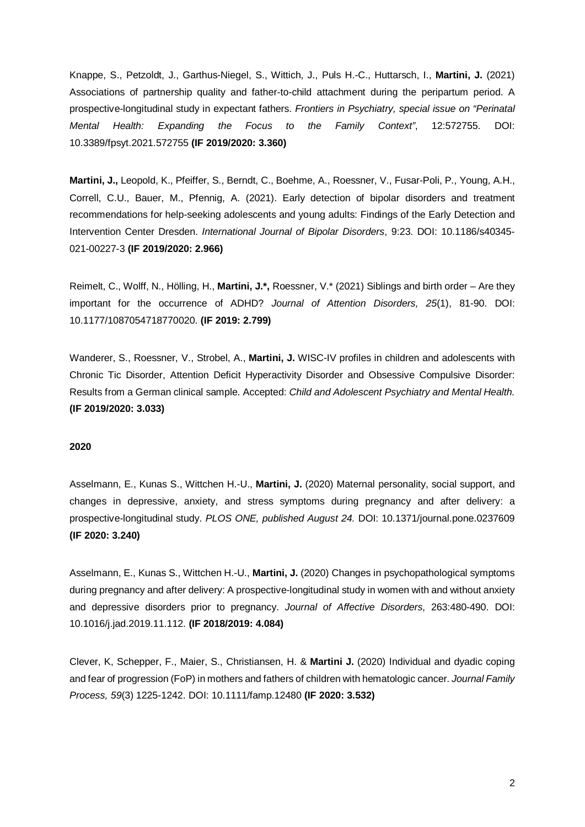Knappe, S., Petzoldt, J., Garthus-Niegel, S., Wittich, J., Puls H.-C., Huttarsch, I., **Martini, J.** (2021) Associations of partnership quality and father-to-child attachment during the peripartum period. A prospective-longitudinal study in expectant fathers. *Frontiers in Psychiatry, special issue on "Perinatal Mental Health: Expanding the Focus to the Family Context"*, 12:572755. DOI: 10.3389/fpsyt.2021.572755 **(IF 2019/2020: 3.360)**

**Martini, J.,** Leopold, K., Pfeiffer, S., Berndt, C., Boehme, A., Roessner, V., Fusar-Poli, P., Young, A.H., Correll, C.U., Bauer, M., Pfennig, A. (2021). Early detection of bipolar disorders and treatment recommendations for help-seeking adolescents and young adults: Findings of the Early Detection and Intervention Center Dresden. *International Journal of Bipolar Disorders*, 9:23. DOI: 10.1186/s40345- 021-00227-3 **(IF 2019/2020: 2.966)**

Reimelt, C., Wolff, N., Hölling, H., **Martini, J.\*,** Roessner, V.\* (2021) Siblings and birth order – Are they important for the occurrence of ADHD? *Journal of Attention Disorders, 25*(1), 81-90. DOI: 10.1177/1087054718770020. **(IF 2019: 2.799)**

Wanderer, S., Roessner, V., Strobel, A., **Martini, J.** WISC-IV profiles in children and adolescents with Chronic Tic Disorder, Attention Deficit Hyperactivity Disorder and Obsessive Compulsive Disorder: Results from a German clinical sample. Accepted: *Child and Adolescent Psychiatry and Mental Health.* **(IF 2019/2020: 3.033)**

## **2020**

Asselmann, E., Kunas S., Wittchen H.-U., **Martini, J.** (2020) Maternal personality, social support, and changes in depressive, anxiety, and stress symptoms during pregnancy and after delivery: a prospective-longitudinal study. *PLOS ONE, published August 24.* DOI: 10.1371/journal.pone.0237609 **(IF 2020: 3.240)**

Asselmann, E., Kunas S., Wittchen H.-U., **Martini, J.** (2020) Changes in psychopathological symptoms during pregnancy and after delivery: A prospective-longitudinal study in women with and without anxiety and depressive disorders prior to pregnancy. *Journal of Affective Disorders*, 263:480-490. DOI: 10.1016/j.jad.2019.11.112. **(IF 2018/2019: 4.084)**

Clever, K, Schepper, F., Maier, S., Christiansen, H. & **Martini J.** (2020) Individual and dyadic coping and fear of progression (FoP) in mothers and fathers of children with hematologic cancer. *Journal Family Process, 59*(3) 1225-1242. DOI: 10.1111/famp.12480 **(IF 2020: 3.532)**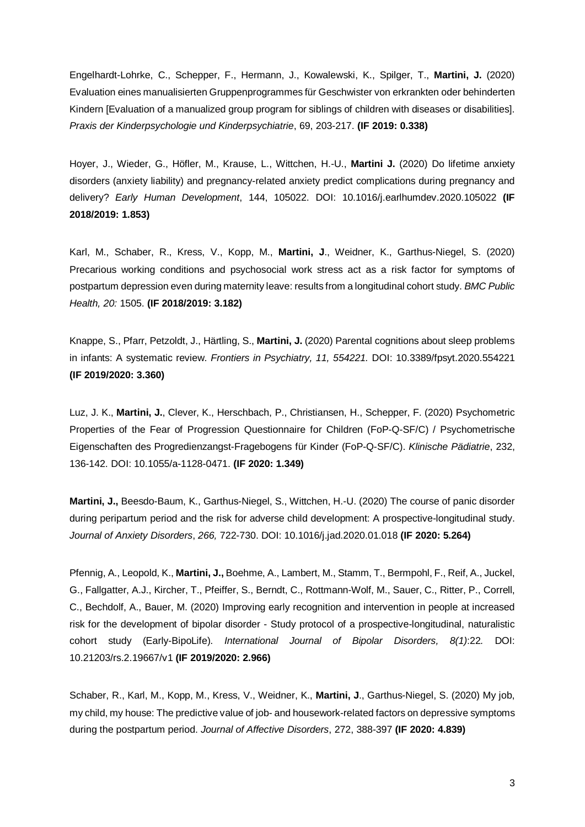Engelhardt-Lohrke, C., Schepper, F., Hermann, J., Kowalewski, K., Spilger, T., **Martini, J.** (2020) Evaluation eines manualisierten Gruppenprogrammes für Geschwister von erkrankten oder behinderten Kindern [Evaluation of a manualized group program for siblings of children with diseases or disabilities]. *Praxis der Kinderpsychologie und Kinderpsychiatrie*, 69, 203-217. **(IF 2019: 0.338)**

Hoyer, J., Wieder, G., Höfler, M., Krause, L., Wittchen, H.-U., **Martini J.** (2020) Do lifetime anxiety disorders (anxiety liability) and pregnancy-related anxiety predict complications during pregnancy and delivery? *Early Human Development*, 144, 105022. DOI: 10.1016/j.earlhumdev.2020.105022 **(IF 2018/2019: 1.853)**

Karl, M., Schaber, R., Kress, V., Kopp, M., **Martini, J**., Weidner, K., Garthus-Niegel, S. (2020) Precarious working conditions and psychosocial work stress act as a risk factor for symptoms of postpartum depression even during maternity leave: results from a longitudinal cohort study. *BMC Public Health, 20:* 1505. **(IF 2018/2019: 3.182)**

Knappe, S., Pfarr, Petzoldt, J., Härtling, S., **Martini, J.** (2020) Parental cognitions about sleep problems in infants: A systematic review. *Frontiers in Psychiatry, 11, 554221.* DOI: 10.3389/fpsyt.2020.554221 **(IF 2019/2020: 3.360)**

Luz, J. K., **Martini, J.**, Clever, K., Herschbach, P., Christiansen, H., Schepper, F. (2020) Psychometric Properties of the Fear of Progression Questionnaire for Children (FoP-Q-SF/C) / Psychometrische Eigenschaften des Progredienzangst-Fragebogens für Kinder (FoP-Q-SF/C). *Klinische Pädiatrie*, 232, 136-142. DOI: 10.1055/a-1128-0471. **(IF 2020: 1.349)**

**Martini, J.,** Beesdo-Baum, K., Garthus-Niegel, S., Wittchen, H.-U. (2020) The course of panic disorder during peripartum period and the risk for adverse child development: A prospective-longitudinal study. *Journal of Anxiety Disorders*, *266,* 722-730. DOI: 10.1016/j.jad.2020.01.018 **(IF 2020: 5.264)**

Pfennig, A., Leopold, K., **Martini, J.,** Boehme, A., Lambert, M., Stamm, T., Bermpohl, F., Reif, A., Juckel, G., Fallgatter, A.J., Kircher, T., Pfeiffer, S., Berndt, C., Rottmann-Wolf, M., Sauer, C., Ritter, P., Correll, C., Bechdolf, A., Bauer, M. (2020) Improving early recognition and intervention in people at increased risk for the development of bipolar disorder - Study protocol of a prospective-longitudinal, naturalistic cohort study (Early-BipoLife). *International Journal of Bipolar Disorders, 8(1)*:22*.* DOI: 10.21203/rs.2.19667/v1 **(IF 2019/2020: 2.966)**

Schaber, R., Karl, M., Kopp, M., Kress, V., Weidner, K., **Martini, J**., Garthus-Niegel, S. (2020) My job, my child, my house: The predictive value of job- and housework-related factors on depressive symptoms during the postpartum period. *Journal of Affective Disorders*, 272, 388-397 **(IF 2020: 4.839)**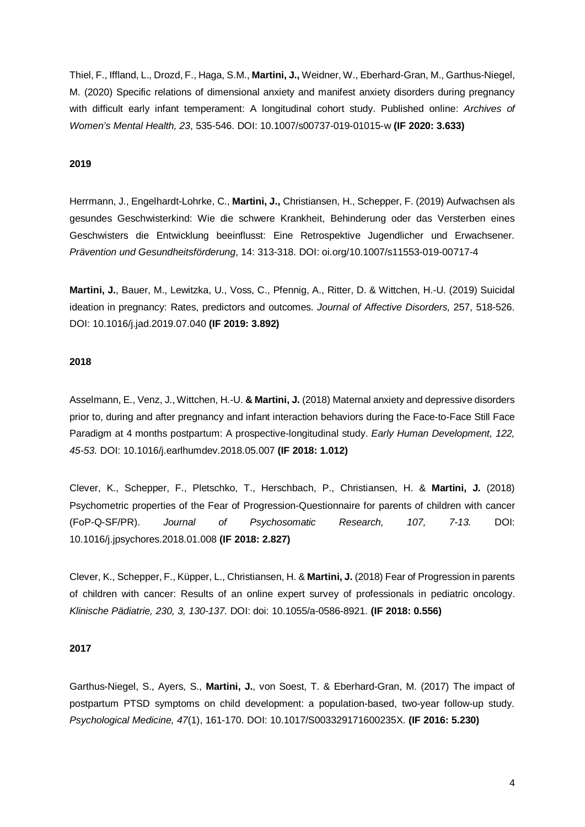Thiel, F., Iffland, L., Drozd, F., Haga, S.M., **Martini, J.,** Weidner, W., Eberhard-Gran, M., Garthus-Niegel, M. (2020) Specific relations of dimensional anxiety and manifest anxiety disorders during pregnancy with difficult early infant temperament: A longitudinal cohort study. Published online: *Archives of Women's Mental Health, 23*, 535-546. DOI: 10.1007/s00737-019-01015-w **(IF 2020: 3.633)**

## **2019**

Herrmann, J., Engelhardt-Lohrke, C., **Martini, J.,** Christiansen, H., Schepper, F. (2019) Aufwachsen als gesundes Geschwisterkind: Wie die schwere Krankheit, Behinderung oder das Versterben eines Geschwisters die Entwicklung beeinflusst: Eine Retrospektive Jugendlicher und Erwachsener. *Prävention und Gesundheitsförderung*, 14: 313-318. DOI: oi.org/10.1007/s11553-019-00717-4

**Martini, J.**, Bauer, M., Lewitzka, U., Voss, C., Pfennig, A., Ritter, D. & Wittchen, H.-U. (2019) Suicidal ideation in pregnancy: Rates, predictors and outcomes. *Journal of Affective Disorders,* 257, 518-526. DOI: 10.1016/j.jad.2019.07.040 **(IF 2019: 3.892)**

## **2018**

Asselmann, E., Venz, J., Wittchen, H.-U. **& Martini, J.** (2018) Maternal anxiety and depressive disorders prior to, during and after pregnancy and infant interaction behaviors during the Face-to-Face Still Face Paradigm at 4 months postpartum: A prospective-longitudinal study. *Early Human Development, 122, 45-53.* DOI: 10.1016/j.earlhumdev.2018.05.007 **(IF 2018: 1.012)**

Clever, K., Schepper, F., Pletschko, T., Herschbach, P., Christiansen, H. & **Martini, J.** (2018) Psychometric properties of the Fear of Progression-Questionnaire for parents of children with cancer (FoP-Q-SF/PR). *Journal of Psychosomatic Research, 107, 7-13.* DOI: 10.1016/j.jpsychores.2018.01.008 **(IF 2018: 2.827)**

Clever, K., Schepper, F., Küpper, L., Christiansen, H. & **Martini, J.** (2018) Fear of Progression in parents of children with cancer: Results of an online expert survey of professionals in pediatric oncology. *Klinische Pädiatrie, 230, 3, 130-137.* DOI: doi: 10.1055/a-0586-8921. **(IF 2018: 0.556)**

# **2017**

Garthus-Niegel, S., Ayers, S., **Martini, J.**, von Soest, T. & Eberhard-Gran, M. (2017) The impact of postpartum PTSD symptoms on child development: a population-based, two-year follow-up study. *Psychological Medicine, 47*(1), 161-170. DOI: 10.1017/S003329171600235X. **(IF 2016: 5.230)**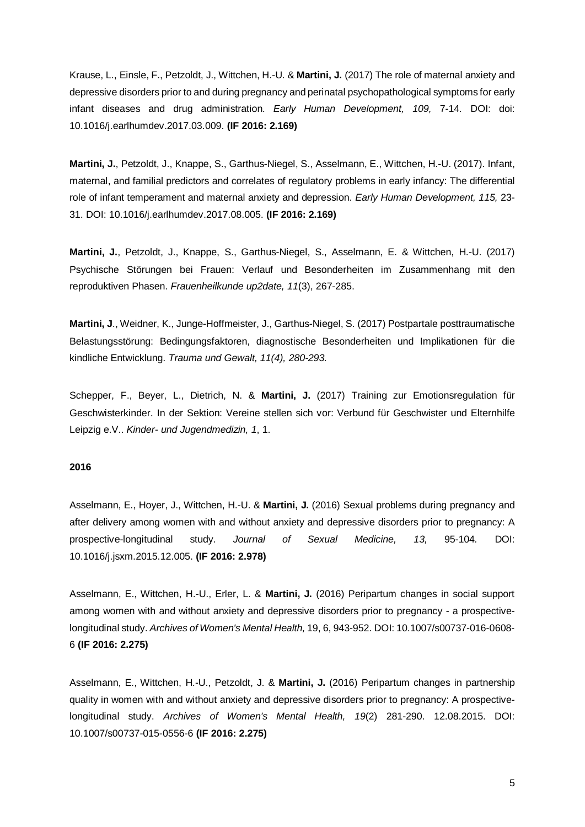Krause, L., Einsle, F., Petzoldt, J., Wittchen, H.-U. & **Martini, J.** (2017) The role of maternal anxiety and depressive disorders prior to and during pregnancy and perinatal psychopathological symptoms for early infant diseases and drug administration. *Early Human Development, 109,* 7-14*.* DOI: doi: 10.1016/j.earlhumdev.2017.03.009. **(IF 2016: 2.169)**

**Martini, J.**, Petzoldt, J., Knappe, S., Garthus-Niegel, S., Asselmann, E., Wittchen, H.-U. (2017). Infant, maternal, and familial predictors and correlates of regulatory problems in early infancy: The differential role of infant temperament and maternal anxiety and depression. *Early Human Development, 115,* 23- 31. DOI: 10.1016/j.earlhumdev.2017.08.005. **(IF 2016: 2.169)**

**Martini, J.**, Petzoldt, J., Knappe, S., Garthus-Niegel, S., Asselmann, E. & Wittchen, H.-U. (2017) Psychische Störungen bei Frauen: Verlauf und Besonderheiten im Zusammenhang mit den reproduktiven Phasen. *Frauenheilkunde up2date, 11*(3), 267-285.

**Martini, J**., Weidner, K., Junge-Hoffmeister, J., Garthus-Niegel, S. (2017) Postpartale posttraumatische Belastungsstörung: Bedingungsfaktoren, diagnostische Besonderheiten und Implikationen für die kindliche Entwicklung. *Trauma und Gewalt, 11(4), 280-293.*

Schepper, F., Beyer, L., Dietrich, N. & **Martini, J.** (2017) Training zur Emotionsregulation für Geschwisterkinder. In der Sektion: Vereine stellen sich vor: Verbund für Geschwister und Elternhilfe Leipzig e.V.. *Kinder- und Jugendmedizin, 1*, 1.

## **2016**

Asselmann, E., Hoyer, J., Wittchen, H.-U. & **Martini, J.** (2016) Sexual problems during pregnancy and after delivery among women with and without anxiety and depressive disorders prior to pregnancy: A prospective-longitudinal study. *Journal of Sexual Medicine, 13,* 95-104*.* DOI: 10.1016/j.jsxm.2015.12.005. **(IF 2016: 2.978)**

Asselmann, E., Wittchen, H.-U., Erler, L. & **Martini, J.** (2016) Peripartum changes in social support among women with and without anxiety and depressive disorders prior to pregnancy - a prospectivelongitudinal study. *Archives of Women's Mental Health,* 19, 6, 943-952. DOI: 10.1007/s00737-016-0608- 6 **(IF 2016: 2.275)**

Asselmann, E., Wittchen, H.-U., Petzoldt, J. & **Martini, J.** (2016) Peripartum changes in partnership quality in women with and without anxiety and depressive disorders prior to pregnancy: A prospectivelongitudinal study. *Archives of Women's Mental Health, 19*(2) 281-290. 12.08.2015. DOI: 10.1007/s00737-015-0556-6 **(IF 2016: 2.275)**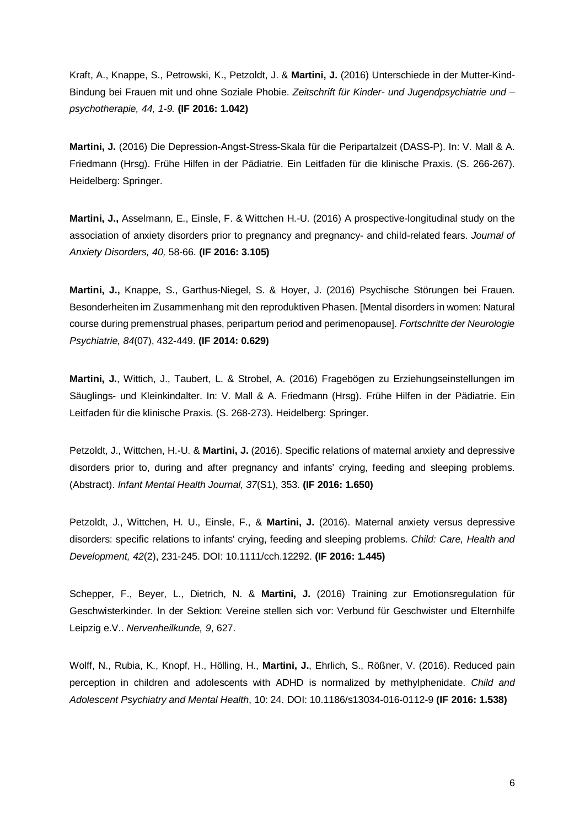Kraft, A., Knappe, S., Petrowski, K., Petzoldt, J. & **Martini, J.** (2016) Unterschiede in der Mutter-Kind-Bindung bei Frauen mit und ohne Soziale Phobie. *Zeitschrift für Kinder- und Jugendpsychiatrie und – psychotherapie, 44, 1-9.* **(IF 2016: 1.042)**

**Martini, J.** (2016) Die Depression-Angst-Stress-Skala für die Peripartalzeit (DASS-P). In: V. Mall & A. Friedmann (Hrsg). Frühe Hilfen in der Pädiatrie. Ein Leitfaden für die klinische Praxis. (S. 266-267). Heidelberg: Springer.

**Martini, J.,** Asselmann, E., Einsle, F. & Wittchen H.-U. (2016) A prospective-longitudinal study on the association of anxiety disorders prior to pregnancy and pregnancy- and child-related fears. *Journal of Anxiety Disorders, 40,* 58-66. **(IF 2016: 3.105)**

**Martini, J.,** Knappe, S., Garthus-Niegel, S. & Hoyer, J. (2016) Psychische Störungen bei Frauen. Besonderheiten im Zusammenhang mit den reproduktiven Phasen. [Mental disorders in women: Natural course during premenstrual phases, peripartum period and perimenopause]. *Fortschritte der Neurologie Psychiatrie, 84*(07), 432-449. **(IF 2014: 0.629)**

**Martini, J.**, Wittich, J., Taubert, L. & Strobel, A. (2016) Fragebögen zu Erziehungseinstellungen im Säuglings- und Kleinkindalter. In: V. Mall & A. Friedmann (Hrsg). Frühe Hilfen in der Pädiatrie. Ein Leitfaden für die klinische Praxis. (S. 268-273). Heidelberg: Springer.

Petzoldt, J., Wittchen, H.-U. & **Martini, J.** (2016). Specific relations of maternal anxiety and depressive disorders prior to, during and after pregnancy and infants' crying, feeding and sleeping problems. (Abstract). *Infant Mental Health Journal, 37*(S1), 353. **(IF 2016: 1.650)**

Petzoldt, J., Wittchen, H. U., Einsle, F., & **Martini, J.** (2016). Maternal anxiety versus depressive disorders: specific relations to infants' crying, feeding and sleeping problems. *Child: Care, Health and Development, 42*(2), 231-245. DOI: 10.1111/cch.12292. **(IF 2016: 1.445)**

Schepper, F., Beyer, L., Dietrich, N. & **Martini, J.** (2016) Training zur Emotionsregulation für Geschwisterkinder. In der Sektion: Vereine stellen sich vor: Verbund für Geschwister und Elternhilfe Leipzig e.V.. *Nervenheilkunde, 9*, 627.

Wolff, N., Rubia, K., Knopf, H., Hölling, H., **Martini, J.**, Ehrlich, S., Rößner, V. (2016). Reduced pain perception in children and adolescents with ADHD is normalized by methylphenidate. *Child and Adolescent Psychiatry and Mental Health*, 10: 24. DOI: 10.1186/s13034-016-0112-9 **(IF 2016: 1.538)**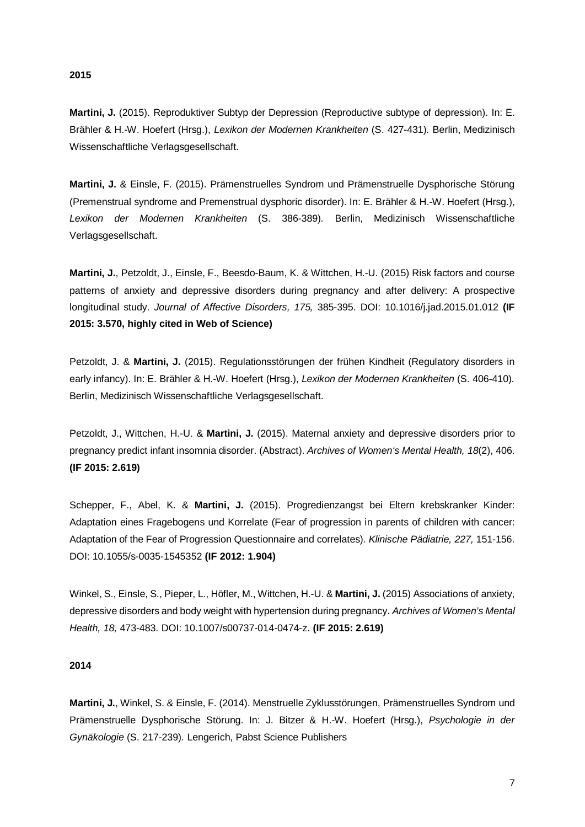## **2015**

**Martini, J.** (2015). Reproduktiver Subtyp der Depression (Reproductive subtype of depression). In: E. Brähler & H.-W. Hoefert (Hrsg.), *Lexikon der Modernen Krankheiten* (S. 427-431)*.* Berlin, Medizinisch Wissenschaftliche Verlagsgesellschaft.

**Martini, J.** & Einsle, F. (2015). Prämenstruelles Syndrom und Prämenstruelle Dysphorische Störung (Premenstrual syndrome and Premenstrual dysphoric disorder). In: E. Brähler & H.-W. Hoefert (Hrsg.), *Lexikon der Modernen Krankheiten* (S. 386-389)*.* Berlin, Medizinisch Wissenschaftliche Verlagsgesellschaft.

**Martini, J.**, Petzoldt, J., Einsle, F., Beesdo-Baum, K. & Wittchen, H.-U. (2015) Risk factors and course patterns of anxiety and depressive disorders during pregnancy and after delivery: A prospective longitudinal study. *Journal of Affective Disorders, 175,* 385-395. DOI: 10.1016/j.jad.2015.01.012 **(IF 2015: 3.570, highly cited in Web of Science)**

Petzoldt, J. & **Martini, J.** (2015). Regulationsstörungen der frühen Kindheit (Regulatory disorders in early infancy). In: E. Brähler & H.-W. Hoefert (Hrsg.), *Lexikon der Modernen Krankheiten* (S. 406-410)*.* Berlin, Medizinisch Wissenschaftliche Verlagsgesellschaft.

Petzoldt, J., Wittchen, H.-U. & **Martini, J.** (2015). Maternal anxiety and depressive disorders prior to pregnancy predict infant insomnia disorder. (Abstract). *Archives of Women's Mental Health, 18*(2), 406. **(IF 2015: 2.619)**

Schepper, F., Abel, K. & **Martini, J.** (2015). Progredienzangst bei Eltern krebskranker Kinder: Adaptation eines Fragebogens und Korrelate (Fear of progression in parents of children with cancer: Adaptation of the Fear of Progression Questionnaire and correlates). *Klinische Pädiatrie, 227,* 151-156. DOI: 10.1055/s-0035-1545352 **(IF 2012: 1.904)**

Winkel, S., Einsle, S., Pieper, L., Höfler, M., Wittchen, H.-U. & **Martini, J.** (2015) Associations of anxiety, depressive disorders and body weight with hypertension during pregnancy. *Archives of Women's Mental Health, 18,* 473-483. DOI: 10.1007/s00737-014-0474-z. **(IF 2015: 2.619)**

# **2014**

**Martini, J.**, Winkel, S. & Einsle, F. (2014). Menstruelle Zyklusstörungen, Prämenstruelles Syndrom und Prämenstruelle Dysphorische Störung. In: J. Bitzer & H.-W. Hoefert (Hrsg.), *Psychologie in der Gynäkologie* (S. 217-239)*.* Lengerich, Pabst Science Publishers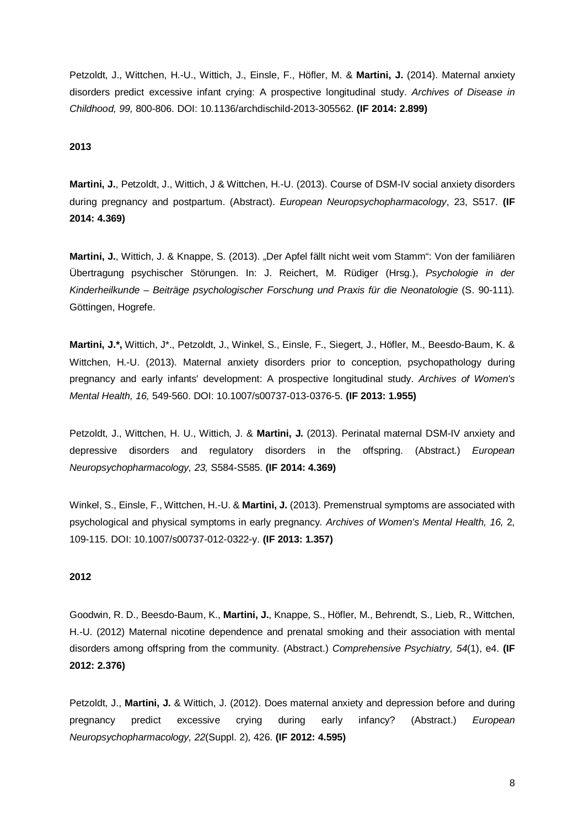Petzoldt, J., Wittchen, H.-U., Wittich, J., Einsle, F., Höfler, M. & **Martini, J.** (2014). Maternal anxiety disorders predict excessive infant crying: A prospective longitudinal study. *Archives of Disease in Childhood, 99,* 800-806. DOI: 10.1136/archdischild-2013-305562. **(IF 2014: 2.899)**

# **2013**

**Martini, J.**, Petzoldt, J., Wittich, J & Wittchen, H.-U. (2013). Course of DSM-IV social anxiety disorders during pregnancy and postpartum. (Abstract). *European Neuropsychopharmacology*, 23, S517. **(IF 2014: 4.369)**

**Martini, J.**, Wittich, J. & Knappe, S. (2013). "Der Apfel fällt nicht weit vom Stamm": Von der familiären Übertragung psychischer Störungen. In: J. Reichert, M. Rüdiger (Hrsg.), *Psychologie in der Kinderheilkunde – Beiträge psychologischer Forschung und Praxis für die Neonatologie* (S. 90-111)*.* Göttingen, Hogrefe.

**Martini, J.\*,** Wittich, J\*., Petzoldt, J., Winkel, S., Einsle, F., Siegert, J., Höfler, M., Beesdo-Baum, K. & Wittchen, H.-U. (2013). Maternal anxiety disorders prior to conception, psychopathology during pregnancy and early infants' development: A prospective longitudinal study. *Archives of Women's Mental Health, 16,* 549-560. DOI: 10.1007/s00737-013-0376-5. **(IF 2013: 1.955)**

Petzoldt, J., Wittchen, H. U., Wittich, J. & **Martini, J.** (2013). Perinatal maternal DSM-IV anxiety and depressive disorders and regulatory disorders in the offspring. (Abstract.) *European Neuropsychopharmacology, 23,* S584-S585. **(IF 2014: 4.369)**

Winkel, S., Einsle, F., Wittchen, H.-U. & **Martini, J.** (2013). Premenstrual symptoms are associated with psychological and physical symptoms in early pregnancy*. Archives of Women's Mental Health, 16,* 2, 109-115. DOI: 10.1007/s00737-012-0322-y. **(IF 2013: 1.357)**

# **2012**

Goodwin, R. D., Beesdo-Baum, K., **Martini, J.**, Knappe, S., Höfler, M., Behrendt, S., Lieb, R., Wittchen, H.-U. (2012) Maternal nicotine dependence and prenatal smoking and their association with mental disorders among offspring from the community. (Abstract.) *Comprehensive Psychiatry, 54*(1), e4. **(IF 2012: 2.376)**

Petzoldt, J., **Martini, J.** & Wittich, J. (2012). Does maternal anxiety and depression before and during pregnancy predict excessive crying during early infancy? (Abstract.) *European Neuropsychopharmacology, 22*(Suppl. 2)*,* 426. **(IF 2012: 4.595)**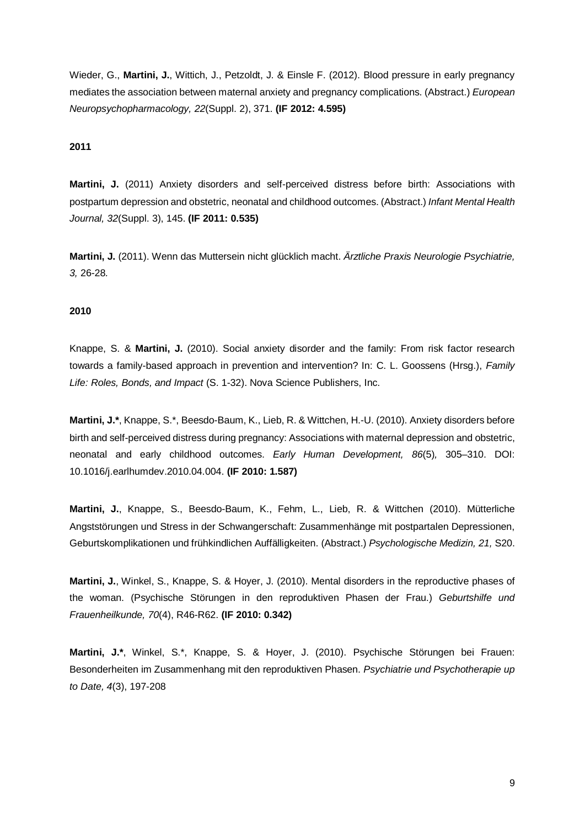Wieder, G., **Martini, J.**, Wittich, J., Petzoldt, J. & Einsle F. (2012). Blood pressure in early pregnancy mediates the association between maternal anxiety and pregnancy complications. (Abstract.) *European Neuropsychopharmacology, 22*(Suppl. 2), 371. **(IF 2012: 4.595)**

## **2011**

**Martini, J.** (2011) Anxiety disorders and self-perceived distress before birth: Associations with postpartum depression and obstetric, neonatal and childhood outcomes. (Abstract.) *Infant Mental Health Journal, 32*(Suppl. 3), 145. **(IF 2011: 0.535)**

**Martini, J.** (2011). Wenn das Muttersein nicht glücklich macht. *Ärztliche Praxis Neurologie Psychiatrie, 3,* 26-28*.*

## **2010**

Knappe, S. & **Martini, J.** (2010). Social anxiety disorder and the family: From risk factor research towards a family-based approach in prevention and intervention? In: C. L. Goossens (Hrsg.), *Family Life: Roles, Bonds, and Impact* (S. 1-32). Nova Science Publishers, Inc.

**Martini, J.\***, Knappe, S.\*, Beesdo-Baum, K., Lieb, R. & Wittchen, H.-U. (2010). Anxiety disorders before birth and self-perceived distress during pregnancy: Associations with maternal depression and obstetric, neonatal and early childhood outcomes. *Early Human Development, 86*(5)*,* 305–310. DOI: 10.1016/j.earlhumdev.2010.04.004. **(IF 2010: 1.587)**

**Martini, J.**, Knappe, S., Beesdo-Baum, K., Fehm, L., Lieb, R. & Wittchen (2010). Mütterliche Angststörungen und Stress in der Schwangerschaft: Zusammenhänge mit postpartalen Depressionen, Geburtskomplikationen und frühkindlichen Auffälligkeiten. (Abstract.) *Psychologische Medizin, 21,* S20.

**Martini, J.**, Winkel, S., Knappe, S. & Hoyer, J. (2010). Mental disorders in the reproductive phases of the woman. (Psychische Störungen in den reproduktiven Phasen der Frau.) *Geburtshilfe und Frauenheilkunde, 70*(4), R46-R62. **(IF 2010: 0.342)**

**Martini, J.\***, Winkel, S.\*, Knappe, S. & Hoyer, J. (2010). Psychische Störungen bei Frauen: Besonderheiten im Zusammenhang mit den reproduktiven Phasen. *Psychiatrie und Psychotherapie up to Date, 4*(3), 197-208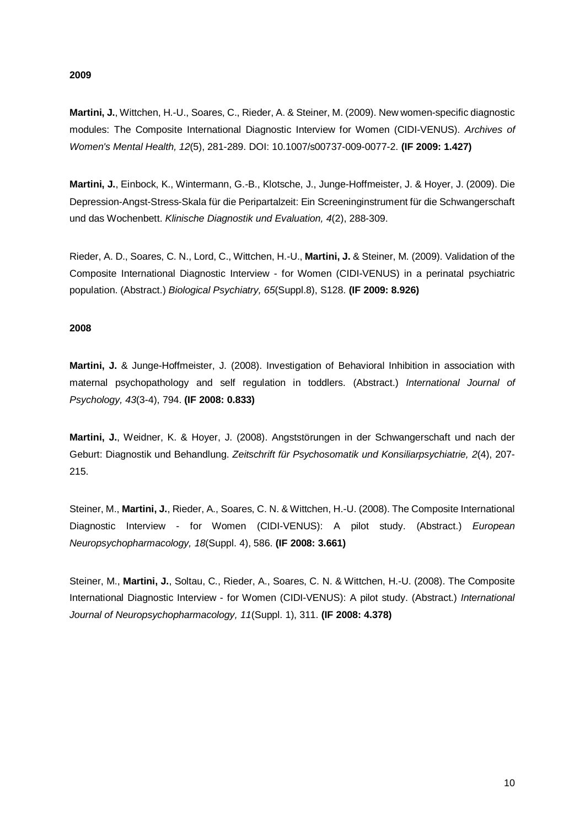## **2009**

**Martini, J.**, Wittchen, H.-U., Soares, C., Rieder, A. & Steiner, M. (2009). New women-specific diagnostic modules: The Composite International Diagnostic Interview for Women (CIDI-VENUS). *Archives of Women's Mental Health, 12*(5), 281-289. DOI: 10.1007/s00737-009-0077-2. **(IF 2009: 1.427)**

**Martini, J.**, Einbock, K., Wintermann, G.-B., Klotsche, J., Junge-Hoffmeister, J. & Hoyer, J. (2009). Die Depression-Angst-Stress-Skala für die Peripartalzeit: Ein Screeninginstrument für die Schwangerschaft und das Wochenbett. *Klinische Diagnostik und Evaluation, 4*(2), 288-309.

Rieder, A. D., Soares, C. N., Lord, C., Wittchen, H.-U., **Martini, J.** & Steiner, M. (2009). Validation of the Composite International Diagnostic Interview - for Women (CIDI-VENUS) in a perinatal psychiatric population. (Abstract.) *Biological Psychiatry, 65*(Suppl.8), S128. **(IF 2009: 8.926)**

# **2008**

**Martini, J.** & Junge-Hoffmeister, J. (2008). Investigation of Behavioral Inhibition in association with maternal psychopathology and self regulation in toddlers. (Abstract.) *International Journal of Psychology, 43*(3-4), 794. **(IF 2008: 0.833)**

**Martini, J.**, Weidner, K. & Hoyer, J. (2008). Angststörungen in der Schwangerschaft und nach der Geburt: Diagnostik und Behandlung. *Zeitschrift für Psychosomatik und Konsiliarpsychiatrie, 2*(4), 207- 215.

Steiner, M., **Martini, J.**, Rieder, A., Soares, C. N. & Wittchen, H.-U. (2008). The Composite International Diagnostic Interview - for Women (CIDI-VENUS): A pilot study. (Abstract.) *European Neuropsychopharmacology, 18*(Suppl. 4), 586. **(IF 2008: 3.661)**

Steiner, M., **Martini, J.**, Soltau, C., Rieder, A., Soares, C. N. & Wittchen, H.-U. (2008). The Composite International Diagnostic Interview - for Women (CIDI-VENUS): A pilot study. (Abstract.) *International Journal of Neuropsychopharmacology, 11*(Suppl. 1), 311. **(IF 2008: 4.378)**